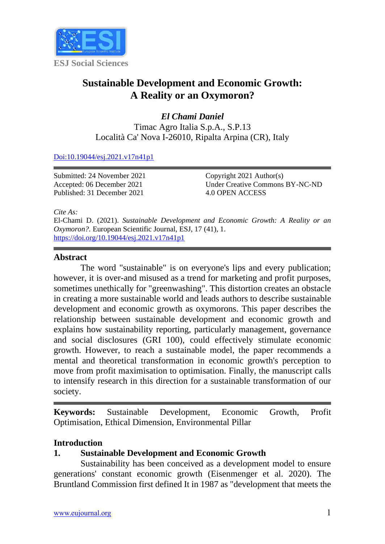

# **Sustainable Development and Economic Growth: A Reality or an Oxymoron?**

*El Chami Daniel* Timac Agro Italia S.p.A., S.P.13 Località Ca' Nova I-26010, Ripalta Arpina (CR), Italy

#### [Doi:10.19044/esj.2021.v17n41p1](https://doi.org/10.19044/esj.2021.v17n41p1)

Submitted: 24 November 2021 Accepted: 06 December 2021 Published: 31 December 2021

Copyright 2021 Author(s) Under Creative Commons BY-NC-ND 4.0 OPEN ACCESS

*Cite As:*

El-Chami D. (2021). *Sustainable Development and Economic Growth: A Reality or an Oxymoron?.* European Scientific Journal, ESJ, 17 (41), 1. <https://doi.org/10.19044/esj.2021.v17n41p1>

#### **Abstract**

The word "sustainable" is on everyone's lips and every publication; however, it is over-and misused as a trend for marketing and profit purposes, sometimes unethically for "greenwashing". This distortion creates an obstacle in creating a more sustainable world and leads authors to describe sustainable development and economic growth as oxymorons. This paper describes the relationship between sustainable development and economic growth and explains how sustainability reporting, particularly management, governance and social disclosures (GRI 100), could effectively stimulate economic growth. However, to reach a sustainable model, the paper recommends a mental and theoretical transformation in economic growth's perception to move from profit maximisation to optimisation. Finally, the manuscript calls to intensify research in this direction for a sustainable transformation of our society.

**Keywords:** Sustainable Development, Economic Growth, Profit Optimisation, Ethical Dimension, Environmental Pillar

### **Introduction**

# **1. Sustainable Development and Economic Growth**

Sustainability has been conceived as a development model to ensure generations' constant economic growth (Eisenmenger et al. 2020). The Bruntland Commission first defined It in 1987 as "development that meets the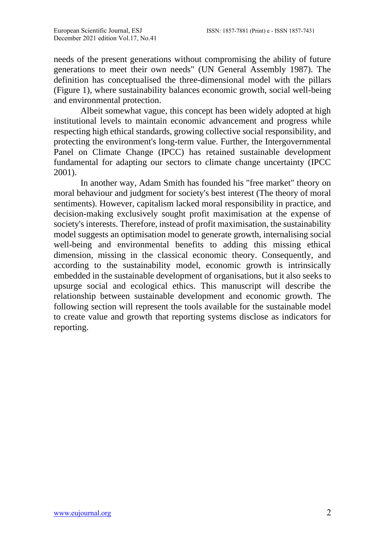needs of the present generations without compromising the ability of future generations to meet their own needs" (UN General Assembly 1987). The definition has conceptualised the three-dimensional model with the pillars (Figure 1), where sustainability balances economic growth, social well-being and environmental protection.

Albeit somewhat vague, this concept has been widely adopted at high institutional levels to maintain economic advancement and progress while respecting high ethical standards, growing collective social responsibility, and protecting the environment's long-term value. Further, the Intergovernmental Panel on Climate Change (IPCC) has retained sustainable development fundamental for adapting our sectors to climate change uncertainty (IPCC 2001).

In another way, Adam Smith has founded his "free market" theory on moral behaviour and judgment for society's best interest (The theory of moral sentiments). However, capitalism lacked moral responsibility in practice, and decision-making exclusively sought profit maximisation at the expense of society's interests. Therefore, instead of profit maximisation, the sustainability model suggests an optimisation model to generate growth, internalising social well-being and environmental benefits to adding this missing ethical dimension, missing in the classical economic theory. Consequently, and according to the sustainability model, economic growth is intrinsically embedded in the sustainable development of organisations, but it also seeks to upsurge social and ecological ethics. This manuscript will describe the relationship between sustainable development and economic growth. The following section will represent the tools available for the sustainable model to create value and growth that reporting systems disclose as indicators for reporting.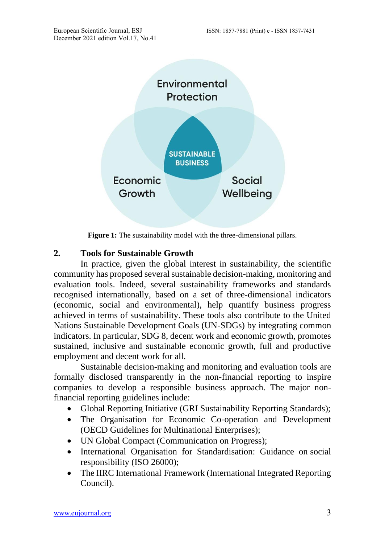

**Figure 1:** The sustainability model with the three-dimensional pillars.

# **2. Tools for Sustainable Growth**

In practice, given the global interest in sustainability, the scientific community has proposed several sustainable decision-making, monitoring and evaluation tools. Indeed, several sustainability frameworks and standards recognised internationally, based on a set of three-dimensional indicators (economic, social and environmental), help quantify business progress achieved in terms of sustainability. These tools also contribute to the United Nations Sustainable Development Goals (UN-SDGs) by integrating common indicators. In particular, SDG 8, decent work and economic growth, promotes sustained, inclusive and sustainable economic growth, full and productive employment and decent work for all.

Sustainable decision-making and monitoring and evaluation tools are formally disclosed transparently in the non-financial reporting to inspire companies to develop a responsible business approach. The major nonfinancial reporting guidelines include:

- Global Reporting Initiative (GRI Sustainability Reporting Standards);
- The Organisation for Economic Co-operation and Development (OECD Guidelines for Multinational Enterprises);
- UN Global Compact (Communication on Progress);
- International Organisation for Standardisation: Guidance on social responsibility (ISO 26000);
- The IIRC International Framework (International Integrated Reporting Council).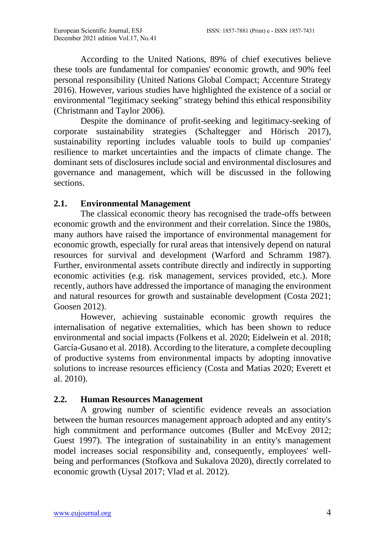According to the United Nations, 89% of chief executives believe these tools are fundamental for companies' economic growth, and 90% feel personal responsibility (United Nations Global Compact; Accenture Strategy 2016). However, various studies have highlighted the existence of a social or environmental "legitimacy seeking" strategy behind this ethical responsibility (Christmann and Taylor 2006).

Despite the dominance of profit-seeking and legitimacy-seeking of corporate sustainability strategies (Schaltegger and Hörisch 2017), sustainability reporting includes valuable tools to build up companies' resilience to market uncertainties and the impacts of climate change. The dominant sets of disclosures include social and environmental disclosures and governance and management, which will be discussed in the following sections.

# **2.1. Environmental Management**

The classical economic theory has recognised the trade-offs between economic growth and the environment and their correlation. Since the 1980s, many authors have raised the importance of environmental management for economic growth, especially for rural areas that intensively depend on natural resources for survival and development (Warford and Schramm 1987). Further, environmental assets contribute directly and indirectly in supporting economic activities (e.g. risk management, services provided, etc.). More recently, authors have addressed the importance of managing the environment and natural resources for growth and sustainable development (Costa 2021; Goosen 2012).

However, achieving sustainable economic growth requires the internalisation of negative externalities, which has been shown to reduce environmental and social impacts (Folkens et al. 2020; Eidelwein et al. 2018; García-Gusano et al. 2018). According to the literature, a complete decoupling of productive systems from environmental impacts by adopting innovative solutions to increase resources efficiency (Costa and Matias 2020; Everett et al. 2010).

### **2.2. Human Resources Management**

A growing number of scientific evidence reveals an association between the human resources management approach adopted and any entity's high commitment and performance outcomes (Buller and McEvoy 2012; Guest 1997). The integration of sustainability in an entity's management model increases social responsibility and, consequently, employees' wellbeing and performances (Stofkova and Sukalova 2020), directly correlated to economic growth (Uysal 2017; Vlad et al. 2012).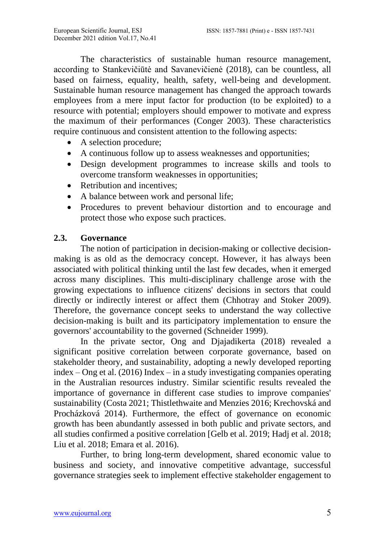The characteristics of sustainable human resource management, according to Stankevičiūtė and Savanevičienė (2018), can be countless, all based on fairness, equality, health, safety, well-being and development. Sustainable human resource management has changed the approach towards employees from a mere input factor for production (to be exploited) to a resource with potential; employers should empower to motivate and express the maximum of their performances (Conger 2003). These characteristics require continuous and consistent attention to the following aspects:

- A selection procedure:
- A continuous follow up to assess weaknesses and opportunities;
- Design development programmes to increase skills and tools to overcome transform weaknesses in opportunities;
- Retribution and incentives;
- A balance between work and personal life;
- Procedures to prevent behaviour distortion and to encourage and protect those who expose such practices.

### **2.3. Governance**

The notion of participation in decision-making or collective decisionmaking is as old as the democracy concept. However, it has always been associated with political thinking until the last few decades, when it emerged across many disciplines. This multi-disciplinary challenge arose with the growing expectations to influence citizens' decisions in sectors that could directly or indirectly interest or affect them (Chhotray and Stoker 2009). Therefore, the governance concept seeks to understand the way collective decision-making is built and its participatory implementation to ensure the governors' accountability to the governed (Schneider 1999).

In the private sector, Ong and Djajadikerta (2018) revealed a significant positive correlation between corporate governance, based on stakeholder theory, and sustainability, adopting a newly developed reporting index – Ong et al. (2016) Index – in a study investigating companies operating in the Australian resources industry. Similar scientific results revealed the importance of governance in different case studies to improve companies' sustainability (Costa 2021; Thistlethwaite and Menzies 2016; Krechovská and Procházková 2014). Furthermore, the effect of governance on economic growth has been abundantly assessed in both public and private sectors, and all studies confirmed a positive correlation [Gelb et al. 2019; Hadj et al. 2018; Liu et al. 2018; Emara et al. 2016).

Further, to bring long-term development, shared economic value to business and society, and innovative competitive advantage, successful governance strategies seek to implement effective stakeholder engagement to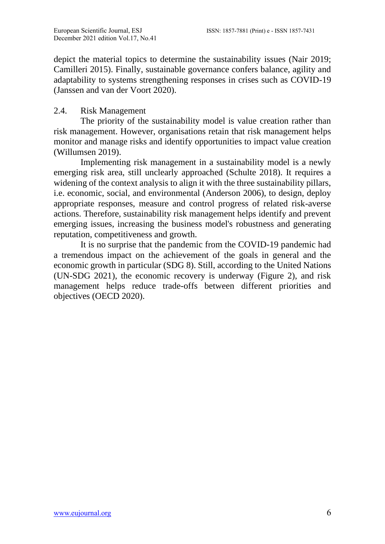depict the material topics to determine the sustainability issues (Nair 2019; Camilleri 2015). Finally, sustainable governance confers balance, agility and adaptability to systems strengthening responses in crises such as COVID-19 (Janssen and van der Voort 2020).

### 2.4. Risk Management

The priority of the sustainability model is value creation rather than risk management. However, organisations retain that risk management helps monitor and manage risks and identify opportunities to impact value creation (Willumsen 2019).

Implementing risk management in a sustainability model is a newly emerging risk area, still unclearly approached (Schulte 2018). It requires a widening of the context analysis to align it with the three sustainability pillars, i.e. economic, social, and environmental (Anderson 2006), to design, deploy appropriate responses, measure and control progress of related risk-averse actions. Therefore, sustainability risk management helps identify and prevent emerging issues, increasing the business model's robustness and generating reputation, competitiveness and growth.

It is no surprise that the pandemic from the COVID-19 pandemic had a tremendous impact on the achievement of the goals in general and the economic growth in particular (SDG 8). Still, according to the United Nations (UN-SDG 2021), the economic recovery is underway (Figure 2), and risk management helps reduce trade-offs between different priorities and objectives (OECD 2020).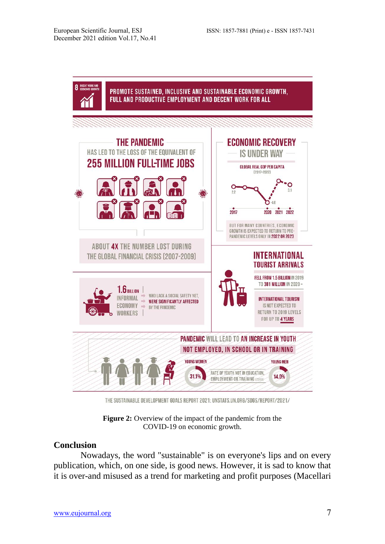

THE SUSTAINABLE DEVELOPMENT GOALS REPORT 2021: UNSTATS.UN.ORG/SDGS/REPORT/2021/

**Figure 2:** Overview of the impact of the pandemic from the COVID-19 on economic growth.

#### **Conclusion**

Nowadays, the word "sustainable" is on everyone's lips and on every publication, which, on one side, is good news. However, it is sad to know that it is over-and misused as a trend for marketing and profit purposes (Macellari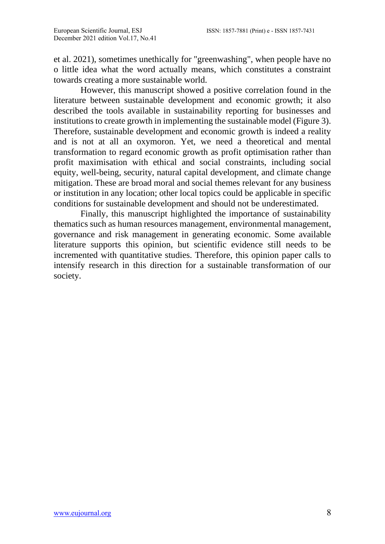et al. 2021), sometimes unethically for "greenwashing", when people have no o little idea what the word actually means, which constitutes a constraint towards creating a more sustainable world.

However, this manuscript showed a positive correlation found in the literature between sustainable development and economic growth; it also described the tools available in sustainability reporting for businesses and institutions to create growth in implementing the sustainable model (Figure 3). Therefore, sustainable development and economic growth is indeed a reality and is not at all an oxymoron. Yet, we need a theoretical and mental transformation to regard economic growth as profit optimisation rather than profit maximisation with ethical and social constraints, including social equity, well-being, security, natural capital development, and climate change mitigation. These are broad moral and social themes relevant for any business or institution in any location; other local topics could be applicable in specific conditions for sustainable development and should not be underestimated.

Finally, this manuscript highlighted the importance of sustainability thematics such as human resources management, environmental management, governance and risk management in generating economic. Some available literature supports this opinion, but scientific evidence still needs to be incremented with quantitative studies. Therefore, this opinion paper calls to intensify research in this direction for a sustainable transformation of our society.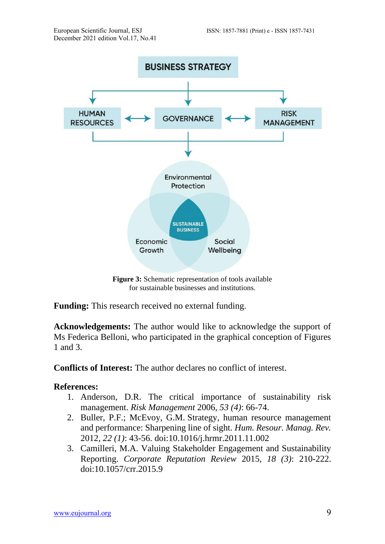

**Figure 3:** Schematic representation of tools available for sustainable businesses and institutions.

**Funding:** This research received no external funding.

**Acknowledgements:** The author would like to acknowledge the support of Ms Federica Belloni, who participated in the graphical conception of Figures 1 and 3.

**Conflicts of Interest:** The author declares no conflict of interest.

#### **References:**

- 1. Anderson, D.R. The critical importance of sustainability risk management. *Risk Management* 2006*, 53 (4)*: 66-74.
- 2. Buller, P.F.; McEvoy, G.M. Strategy, human resource management and performance: Sharpening line of sight. *Hum. Resour. Manag. Rev.*  2012*, 22 (1)*: 43-56. doi:10.1016/j.hrmr.2011.11.002
- 3. Camilleri, M.A. Valuing Stakeholder Engagement and Sustainability Reporting. *Corporate Reputation Review* 2015*, 18 (3)*: 210-222. doi:10.1057/crr.2015.9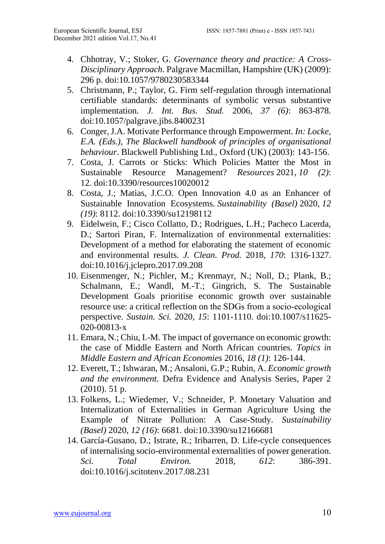- 4. Chhotray, V.; Stoker, G. *Governance theory and practice: A Cross-Disciplinary Approach*. Palgrave Macmillan, Hampshire (UK) (2009): 296 p. doi:10.1057/9780230583344
- 5. Christmann, P.; Taylor, G. Firm self-regulation through international certifiable standards: determinants of symbolic versus substantive implementation. *J. Int. Bus. Stud.* 2006*, 37 (6)*: 863-878. doi:10.1057/palgrave.jibs.8400231
- 6. Conger, J.A. Motivate Performance through Empowerment. *In: Locke, E.A. (Eds.), The Blackwell handbook of principles of organisational behaviour*. Blackwell Publishing Ltd., Oxford (UK) (2003): 143-156.
- 7. Costa, J. Carrots or Sticks: Which Policies Matter the Most in Sustainable Resource Management? *Resources* 2021*, 10 (2)*: 12. doi:10.3390/resources10020012
- 8. Costa, J.; Matias, J.C.O. Open Innovation 4.0 as an Enhancer of Sustainable Innovation Ecosystems. *Sustainability (Basel)* 2020*, 12 (19)*: 8112. doi:10.3390/su12198112
- 9. Eidelwein, F.; Cisco Collatto, D.; Rodrigues, L.H.; Pacheco Lacerda, D.; Sartori Piran, F. Internalization of environmental externalities: Development of a method for elaborating the statement of economic and environmental results. *J. Clean. Prod.* 2018*, 170*: 1316-1327. doi:10.1016/j.jclepro.2017.09.208
- 10. Eisenmenger, N.; Pichler, M.; Krenmayr, N.; Noll, D.; Plank, B.; Schalmann, E.; Wandl, M.-T.; Gingrich, S. The Sustainable Development Goals prioritise economic growth over sustainable resource use: a critical reflection on the SDGs from a socio‑ecological perspective. *Sustain. Sci.* 2020*, 15*: 1101-1110. doi:10.1007/s11625- 020-00813-x
- 11. Emara, N.; Chiu, I.-M. The impact of governance on economic growth: the case of Middle Eastern and North African countries. *Topics in Middle Eastern and African Economies* 2016*, 18 (1)*: 126-144.
- 12. Everett, T.; Ishwaran, M.; Ansaloni, G.P.; Rubin, A. *Economic growth and the environment*. Defra Evidence and Analysis Series, Paper 2 (2010). 51 p.
- 13. Folkens, L.; Wiedemer, V.; Schneider, P. Monetary Valuation and Internalization of Externalities in German Agriculture Using the Example of Nitrate Pollution: A Case-Study. *Sustainability (Basel)* 2020*, 12 (16)*: 6681. do[i:10.3390/su12166681](https://doi.org/10.3390/su12166681)
- 14. García-Gusano, D.; Istrate, R.; Iribarren, D. Life-cycle consequences of internalising socio-environmental externalities of power generation. *Sci. Total Environ.* 2018*, 612*: 386-391. doi:10.1016/j.scitotenv.2017.08.231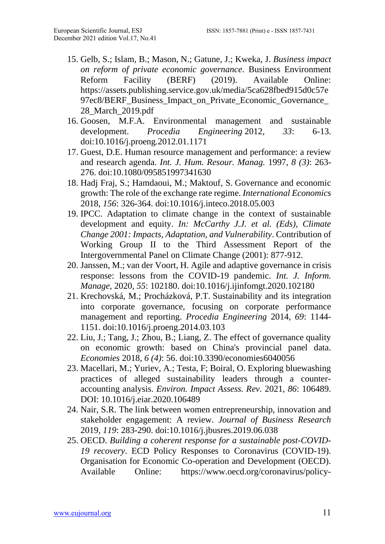- 15. Gelb, S.; Islam, B.; Mason, N.; Gatune, J.; Kweka, J. *Business impact on reform of private economic governance*. Business Environment Reform Facility (BERF) (2019). Available Online: [https://assets.publishing.service.gov.uk/media/5ca628fbed915d0c57e](https://assets.publishing.service.gov.uk/media/5ca628fbed915d0c57e97ec8/BERF_Business_Impact_on_Private_Economic_Governance_28_March_2019.pdf) 97ec8/BERF\_Business\_Impact\_on\_Private\_Economic\_Governance [28\\_March\\_2019.pdf](https://assets.publishing.service.gov.uk/media/5ca628fbed915d0c57e97ec8/BERF_Business_Impact_on_Private_Economic_Governance_28_March_2019.pdf)
- 16. Goosen, M.F.A. Environmental management and sustainable development. *Procedia Engineering* 2012*, 33*: 6-13. doi:10.1016/j.proeng.2012.01.1171
- 17. Guest, D.E. Human resource management and performance: a review and research agenda. *Int. J. Hum. Resour. Manag.* 1997*, 8 (3)*: 263- 276. doi:10.1080/095851997341630
- 18. Hadj Fraj, S.; Hamdaoui, M.; Maktouf, S. Governance and economic growth: The role of the exchange rate regime. *International Economics*  2018*, 156*: 326-364. doi:10.1016/j.inteco.2018.05.003
- 19. IPCC. Adaptation to climate change in the context of sustainable development and equity. *In: McCarthy J.J. et al. (Eds), Climate Change 2001: Impacts, Adaptation, and Vulnerability*. Contribution of Working Group II to the Third Assessment Report of the Intergovernmental Panel on Climate Change (2001): 877-912.
- 20. Janssen, M.; van der Voort, H. Agile and adaptive governance in crisis response: lessons from the COVID-19 pandemic. *Int. J. Inform. Manage,* 2020*, 55*: 102180. doi:10.1016/j.ijinfomgt.2020.102180
- 21. Krechovská, M.; Procházková, P.T. Sustainability and its integration into corporate governance, focusing on corporate performance management and reporting. *Procedia Engineering* 2014*, 69*: 1144- 1151. doi:10.1016/j.proeng.2014.03.103
- 22. Liu, J.; Tang, J.; Zhou, B.; Liang, Z. The effect of governance quality on economic growth: based on China's provincial panel data. *Economies* 2018*, 6 (4)*: 56. doi:10.3390/economies6040056
- 23. Macellari, M.; Yuriev, A.; Testa, F; Boiral, O. Exploring bluewashing practices of alleged sustainability leaders through a counteraccounting analysis. *Environ. Impact Assess. Rev.* 2021*, 86*: 106489. DOI: 10.1016/j.eiar.2020.106489
- 24. Nair, S.R. The link between women entrepreneurship, innovation and stakeholder engagement: A review. *Journal of Business Research*  2019*, 119*: 283-290. doi:10.1016/j.jbusres.2019.06.038
- 25. OECD. *Building a coherent response for a sustainable post-COVID-19 recovery*. ECD Policy Responses to Coronavirus (COVID-19). Organisation for Economic Co-operation and Development (OECD). Available Online: https://www.oecd.org/coronavirus/policy-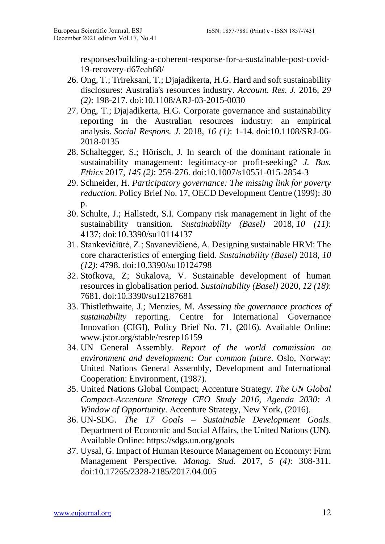responses/building-a-coherent-response-for-a-sustainable-post-covid-19-recovery-d67eab68/

- 26. Ong, T.; Trireksani, T.; Djajadikerta, H.G. Hard and soft sustainability disclosures: Australia's resources industry. *Account. Res. J.* 2016, *29 (2)*: 198-217. doi:10.1108/ARJ-03-2015-0030
- 27. Ong, T.; Djajadikerta, H.G. Corporate governance and sustainability reporting in the Australian resources industry: an empirical analysis. *Social Respons. J.* 2018*, 16 (1)*: 1-14. doi:10.1108/SRJ-06- 2018-0135
- 28. Schaltegger, S.; Hörisch, J. In search of the dominant rationale in sustainability management: legitimacy-or profit-seeking? *J. Bus. Ethics* 2017*, 145 (2)*: 259-276. doi:10.1007/s10551-015-2854-3
- 29. Schneider, H. *Participatory governance: The missing link for poverty reduction*. Policy Brief No. 17, OECD Development Centre (1999): 30 p.
- 30. Schulte, J.; Hallstedt, S.I. Company risk management in light of the sustainability transition. *Sustainability (Basel)* 2018, *10 (11)*: 4137; doi:10.3390/su10114137
- 31. Stankevičiūtė, Z.; Savanevičienė, A. Designing sustainable HRM: The core characteristics of emerging field. *Sustainability (Basel)* 2018*, 10 (12)*: 4798. doi:10.3390/su10124798
- 32. Stofkova, Z; Sukalova, V. Sustainable development of human resources in globalisation period. *Sustainability (Basel)* 2020*, 12 (18)*: 7681. doi:10.3390/su12187681
- 33. Thistlethwaite, J.; Menzies, M. *Assessing the governance practices of sustainability* reporting. Centre for International Governance Innovation (CIGI), Policy Brief No. 71, (2016). Available Online: [www.jstor.org/stable/resrep16159](http://www.jstor.org/stable/resrep16159)
- 34. UN General Assembly. *Report of the world commission on environment and development: Our common future*. Oslo, Norway: United Nations General Assembly, Development and International Cooperation: Environment, (1987).
- 35. United Nations Global Compact; Accenture Strategy. *The UN Global Compact-Accenture Strategy CEO Study 2016, Agenda 2030: A Window of Opportunity*. Accenture Strategy, New York, (2016).
- 36. UN-SDG. *The 17 Goals – Sustainable Development Goals*. Department of Economic and Social Affairs, the United Nations (UN). Available Online:<https://sdgs.un.org/goals>
- 37. Uysal, G. Impact of Human Resource Management on Economy: Firm Management Perspective. *Manag. Stud.* 2017*, 5 (4)*: 308-311. doi:10.17265/2328-2185/2017.04.005